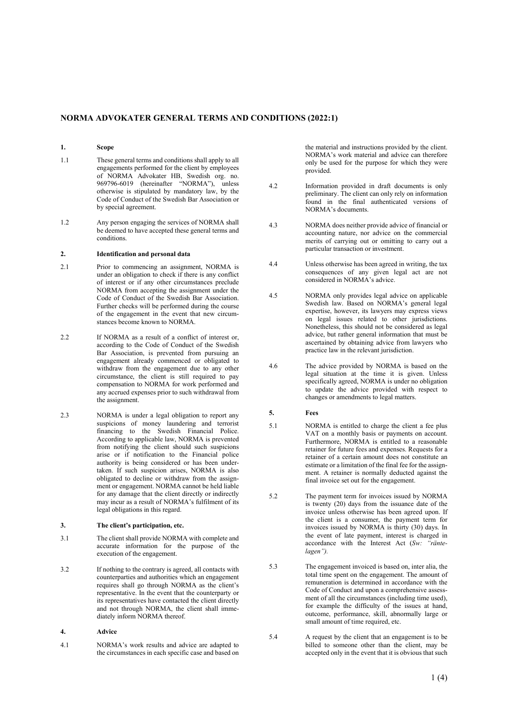# **NORMA ADVOKATER GENERAL TERMS AND CONDITIONS (2022:1)**

# **1. Scope**

- 1.1 These general terms and conditions shall apply to all engagements performed for the client by employees of NORMA Advokater HB, Swedish org. no. 969796-6019 (hereinafter "NORMA"), unless otherwise is stipulated by mandatory law, by the Code of Conduct of the Swedish Bar Association or by special agreement.
- 1.2 Any person engaging the services of NORMA shall be deemed to have accepted these general terms and conditions.

#### **2. Identification and personal data**

- 2.1 Prior to commencing an assignment, NORMA is under an obligation to check if there is any conflict of interest or if any other circumstances preclude NORMA from accepting the assignment under the Code of Conduct of the Swedish Bar Association. Further checks will be performed during the course of the engagement in the event that new circumstances become known to NORMA.
- 2.2 If NORMA as a result of a conflict of interest or, according to the Code of Conduct of the Swedish Bar Association, is prevented from pursuing an engagement already commenced or obligated to withdraw from the engagement due to any other circumstance, the client is still required to pay compensation to NORMA for work performed and any accrued expenses prior to such withdrawal from the assignment.
- <span id="page-0-1"></span>2.3 NORMA is under a legal obligation to report any suspicions of money laundering and terrorist financing to the Swedish Financial Police. According to applicable law, NORMA is prevented from notifying the client should such suspicions arise or if notification to the Financial police authority is being considered or has been undertaken. If such suspicion arises, NORMA is also obligated to decline or withdraw from the assignment or engagement. NORMA cannot be held liable for any damage that the client directly or indirectly may incur as a result of NORMA's fulfilment of its legal obligations in this regard.

### **3. The client's participation, etc.**

- 3.1 The client shall provide NORMA with complete and accurate information for the purpose of the execution of the engagement.
- 3.2 If nothing to the contrary is agreed, all contacts with counterparties and authorities which an engagement requires shall go through NORMA as the client's representative. In the event that the counterparty or its representatives have contacted the client directly and not through NORMA, the client shall immediately inform NORMA thereof.

# **4. Advice**

4.1 NORMA's work results and advice are adapted to the circumstances in each specific case and based on the material and instructions provided by the client. NORMA's work material and advice can therefore only be used for the purpose for which they were provided.

- 4.2 Information provided in draft documents is only preliminary. The client can only rely on information found in the final authenticated versions of NORMA's documents.
- 4.3 NORMA does neither provide advice of financial or accounting nature, nor advice on the commercial merits of carrying out or omitting to carry out a particular transaction or investment.
- 4.4 Unless otherwise has been agreed in writing, the tax consequences of any given legal act are not considered in NORMA's advice.
- 4.5 NORMA only provides legal advice on applicable Swedish law. Based on NORMA's general legal expertise, however, its lawyers may express views on legal issues related to other jurisdictions. Nonetheless, this should not be considered as legal advice, but rather general information that must be ascertained by obtaining advice from lawyers who practice law in the relevant jurisdiction.
- 4.6 The advice provided by NORMA is based on the legal situation at the time it is given. Unless specifically agreed, NORMA is under no obligation to update the advice provided with respect to changes or amendments to legal matters.

### **5. Fees**

- <span id="page-0-0"></span>5.1 NORMA is entitled to charge the client a fee plus VAT on a monthly basis or payments on account. Furthermore, NORMA is entitled to a reasonable retainer for future fees and expenses. Requests for a retainer of a certain amount does not constitute an estimate or a limitation of the final fee for the assignment. A retainer is normally deducted against the final invoice set out for the engagement.
- 5.2 The payment term for invoices issued by NORMA is twenty (20) days from the issuance date of the invoice unless otherwise has been agreed upon. If the client is a consumer, the payment term for invoices issued by NORMA is thirty (30) days. In the event of late payment, interest is charged in accordance with the Interest Act (*Sw: "räntelagen").*
- 5.3 The engagement invoiced is based on, inter alia, the total time spent on the engagement. The amount of remuneration is determined in accordance with the Code of Conduct and upon a comprehensive assessment of all the circumstances (including time used), for example the difficulty of the issues at hand, outcome, performance, skill, abnormally large or small amount of time required, etc.
- 5.4 A request by the client that an engagement is to be billed to someone other than the client, may be accepted only in the event that it is obvious that such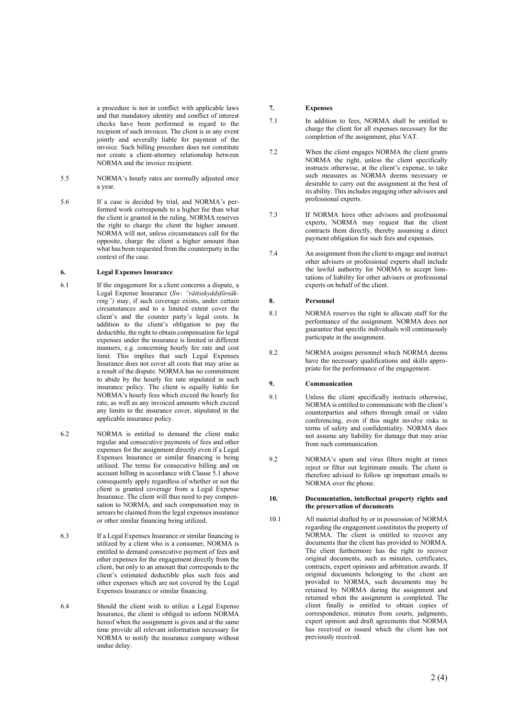a procedure is not in conflict with applicable law s and that mandatory identity and conflict of interest checks have been performed in regard to the recipient of such invoices. The client is in any event jointly and severally liable for payment of the invoice. Such billing procedure does not constitute nor create a client -attorney relationship between NORMA and the invoice recipient.

- 5.5 NORMA ' s hourly rates are normally adjusted once a year.
- $5.6$ a case is decided by trial, and NORMA's per formed work corresponds to a higher fee than what the client is granted in the ruling, NORMA reserves the right to charge the client the higher amount. NORMA will not, unless circumstances call for the opposite, charge the client a higher amount than what has been requested from the counterparty in the context of the case.

# **6. Legal Expenses Insurance**

- 6.1 If the engagement for a client concerns a dispute, a Legal Expense Insurance (*Sw: "rättsskyddsförsäkring")* may, if such coverage exists, under certain circumstances and to a limited extent cover the client's and the counter party's legal costs. In addition to the client's obligation to pay the deductible, the right to obtain compensation for legal expenses under the insurance is limited in different manners, e.g. concerning hourly fee rate and cost limit. This implies that such Legal Expenses Insurance does not cover all costs that may arise as a result of the dispute. NORMA has no commitment to abide by the hourly fee rate stipulated in such insurance policy. The client is equally liable for NORMA's hourly fees which exceed the hourly fee rate, as well as any invoiced amounts which exceed any limits to the insurance cover, stipulated in the applicable insurance policy.
- 6.2 NORMA is entitled to demand the client make regular and consecutive payment s of fees and other expenses for the assignment directly even if a Legal Expenses Insurance or similar financing is being utilized. The terms for consecutive billing and on account billing in accordance with Claus[e 5.1](#page-0-0) above consequently apply regardless of whether or not the client is granted coverage from a Legal Expense Insurance. The client will thus need to pay compen sation to NORMA, and such compensation may in arrears be claimed from the legal expenses insurance or other similar financing being utilized.
- 6.3 If a Legal Expenses Insurance or similar financing is utilized by a client who is a consumer, NORMA is entitled to demand consecutive payment of fees and other expenses for the engagement directly from the clien t, but only to an amount that corresponds to the client's estimated deductible plus such fees and other expenses which are not covered by the Legal Expenses Insurance or similar financing .
- 6.4 Should the client wish to utilize a Legal Expense Insurance, the client is obliged to inform NORMA hereof when the assignment is given and at the same time provide all relevant information necessary for NORMA to notify the insurance company without undue delay .

# **7. Expenses**

- 7.1 In addition to fees, NORMA shall be entitled to charge the client for all expenses necessary for the completion of the assignment, plus VAT.
- 7.2 When the client engages NORMA the client grants NORMA the right, unless the client specifically instructs otherwise, at the client 's expense, to take such measures as NORMA deems necessary or desirable to carry out the assignment at the best of its ability. This includes engaging other advisors and professional experts.
- 7.3 If NORMA hires other advisors and professional experts, NORMA may request that the client contracts them directly, thereby assuming a direct payment obligation for such fees and expenses.
- 7.4 An assignment from the client to engage and instruct other advisers or professional experts shall include the lawful authority for NORMA to accept limi tations of liability for other advisers or professional experts on behalf of the client.

#### **8. Personnel**

- 8.1 NORMA reserves the right to allocate staff for the performance of the assignment. NORMA does not guarantee that specific individuals will continuously participate in the assignment.
- 8.2 NORMA assigns personnel which NORMA deems have the necessary qualifications and skills appro priate for the performance of the engagement .

#### **9. Communication**

- 9.1 Unless the client specifically instructs otherwise, NORMA is entitled to communicate with the client's counterparties and others through email or video conferencing, even if this might involve risks in terms of safety and confidentiality. NORMA does not assume any liability for damage that may arise from such communication.
- 9.2 NORMA 's spam and virus filters might at times reject or filter out legitimate emails. The client is therefore advised to follow up important emails to NORMA over the phone.

#### **10. Documentation, intellectual property rights and the preservation of documents**

10.1 All material drafted by or in possession of NORMA regarding the engagement constitutes the property of NORMA. The client is entitled to recover any documents that the client has provided to NORMA . The client furthermore has the right to recover original documents, such as minutes, certificates, contracts, expert opinions and arbitration awards. If original documents belonging to the client are provided to NORMA, such documents may be retained by NORMA during the assignment and returned when the assignment is completed. The client finally is entitled to obtain copies of correspondence, minutes from courts, judgments, expert opinion and draft agreements that NORMA has received or issued which the client has not previously received.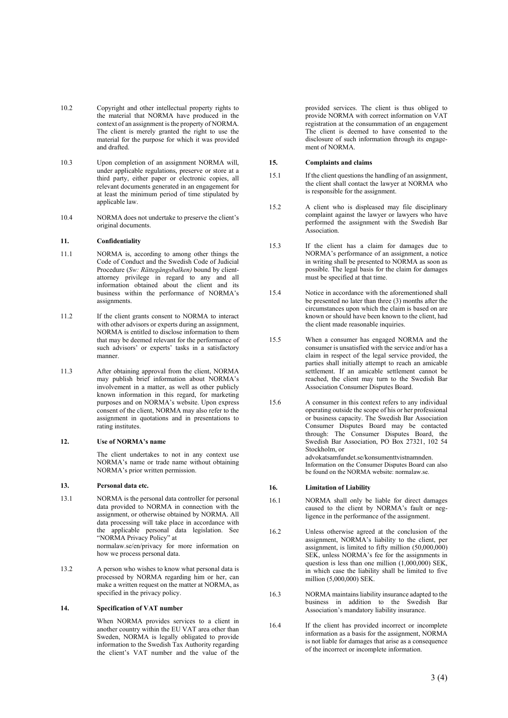- 10.2 Copyright and other intellectual property rights to the material that NORMA have produced in the context of an assignment is the property of NORMA. The client is merely granted the right to use the material for the purpose for which it was provided and drafted .
- 10.3 Upon completion of an assignment NORMA will, under applicable regulations, preserve or store at a third party, either paper or electronic copies, all relevant documents generated in an engagement for at least the minimum period of time stipulated by applicable law .
- 10.4 NORMA does not undertake to preserve the client 's original documents.

# **11. Confidentiality**

- 11.1 NORMA is, according to among other things the Code of Conduct and the Swedish Code of Judicial Procedure (*Sw: Rättegångsbalken)* bound by client attorney privilege in regard to any and all information obtained about the client and its business within the performance of NORMA's assignments.
- 11.2 If the client grants consent to NORMA to interact with other advisors or experts during an assignment, NORMA is entitled to disclose information to them that may be deemed relevant for the performance of such advisors' or experts' tasks in a satisfactory manner.
- 11.3 After obtaining approval from the client, NORMA may publish brief information about NORMA 's involvement in a matter, as well as other publicly known information in this regard, for marketing purposes and on NORMA 's website. Upon express consent of the client, NORMA may also refer to the assignment in quotations and in presentations to rating institutes.

### **12. Use of NORMA's name**

The client undertakes to not in any context use NORMA 's name or trade name without obtaining NORMA 's prior written permission.

#### **13. Personal data etc.**

13.1 NORMA is the personal data controller for personal data provided to NORMA in connection with the assignment, or otherwise obtained by NORMA. All data processing will take place in accordance with the applicable personal data legislation. See "NORMA Privacy Policy" at normalaw.se/en/privacy for more information on

how we process personal data.

13.2 A person who wishes to know what personal data is processed by NORMA regarding him or her, can make a written request on the matter at NORMA, as specified in the privacy policy.

#### **14. Specification of VAT number**

When NORMA provides services to a client in another country within the EU VAT area other than Sweden, NORMA is legally obligated to provide information to the Swedish Tax Authority regarding the client 's VAT number and the value of the provided services. The client is thus obliged to provide NORMA with correct information on VAT registration at the consummation of an engagement The client is deemed to have consented to the disclosure of such information through its engagement of NORMA.

# **15. Complaints and claims**

- 15.1 If the client questions the handling of an assignment, the client shall contact the lawyer at NORMA who is responsible for the assignment.
- 15.2 A client who is displeased may file disciplinary complaint against the lawyer or lawyers who have performed the assignment with the Swedish Bar Association.
- 15.3 If the client has a claim for damages due to NORMA's performance of an assignment, a notice in writing shall be presented to NORMA as soon as possible. The legal basis for the claim for damages must be specified at that time.
- 15.4 Notice in accordance with the aforementioned shall be presented no later than three (3) months after the circumstances upon which the claim is based on are known or should have been known to the client, had the client made reasonable inquiries.
- 15.5 When a consumer has engaged NORMA and the consumer is unsatisfied with the service and/or has a claim in respect of the legal service provided, the parties shall initially attempt to reach an amicable settlement . If an amicable settlement cannot be reached, the client may turn to the Swedish Bar Association Consumer Disputes Board.
- 15.6 A consumer in this context refers to any individual operating outside the scope of his or her professional or business capacity. The Swedish Bar Association Consumer Disputes Board may be contacted through: The Consumer Disputes Board, the Swedish Bar Association, PO Box 27321, 102 54 Stockholm, or advokatsamfundet.se/konsumenttvistnamnden. Information on the Consumer Disputes Board can also be found on the NORMA website: normalaw.se.

#### **16. Limitation of Liability**

- 16.1 NORMA shall only be liable for direct damage s caused to the client by NORMA's fault or neg ligence in the performance of the assignment.
- 16.2 Unless otherwise agreed at the conclusion of the assignment, NORMA's liability to the client, per assignment, is limited to fifty million  $(50,000,000)$ SEK, unless NORMA's fee for the assignments in question is less than one million  $(1,000,000)$  SEK. in which case the liability shall be limited to five million (5,000,000) SEK.
- 16.3 NORMA maintains liability insurance adapted to the business in addition to the Swedish Bar Association 's mandatory liability insurance.
- 16.4 If the client has provided incorrect or incomplete information as a basis for the assignment, NORMA is not liable for damages that arise as a consequence of the incorrect or incomplete information .